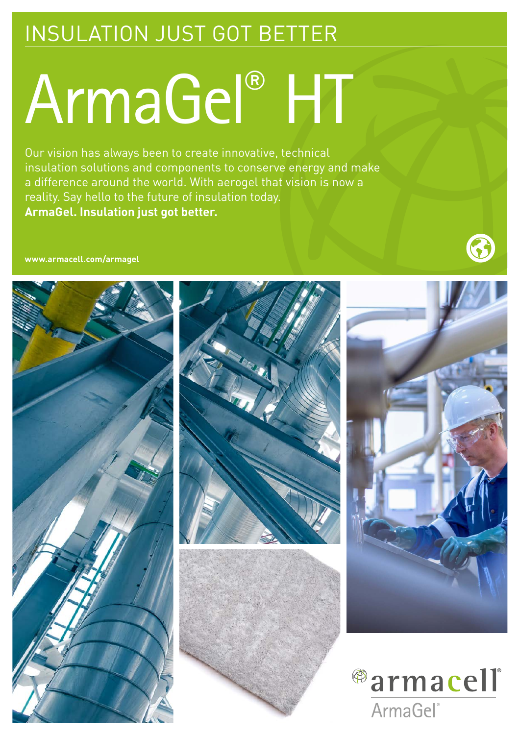## INSULATION JUST GOT BETTER

## ArmaGel® HT

Our vision has always been to create innovative, technical insulation solutions and components to conserve energy and make a difference around the world. With aerogel that vision is now a reality. Say hello to the future of insulation today. **ArmaGel. Insulation just got better.**

#### **www.armacell.com/armagel**



53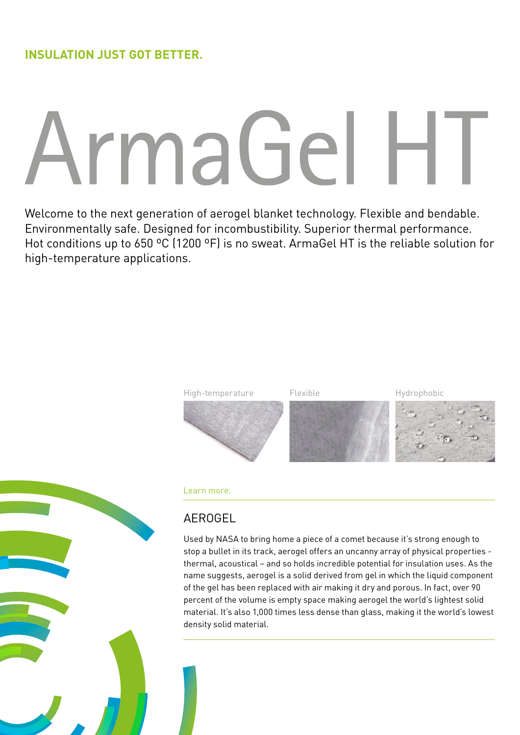# ArmaGel H

Welcome to the next generation of aerogel blanket technology. Flexible and bendable. Environmentally safe. Designed for incombustibility. Superior thermal performance. Hot conditions up to 650 ºC (1200 ºF) is no sweat. ArmaGel HT is the reliable solution for high-temperature applications.



#### Learn more.

#### AEROGEL

Used by NASA to bring home a piece of a comet because it's strong enough to stop a bullet in its track, aerogel offers an uncanny array of physical properties thermal, acoustical – and so holds incredible potential for insulation uses. As the name suggests, aerogel is a solid derived from gel in which the liquid component of the gel has been replaced with air making it dry and porous. In fact, over 90 percent of the volume is empty space making aerogel the world's lightest solid material. It's also 1,000 times less dense than glass, making it the world's lowest density solid material.

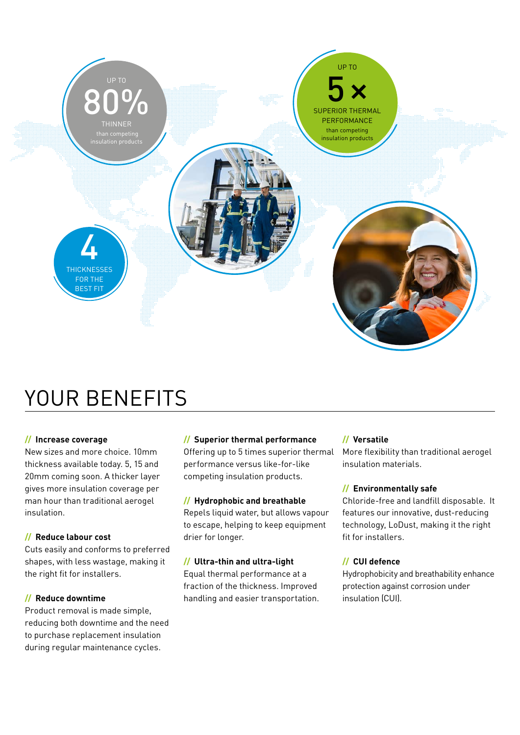

### YOUR BENEFITS

#### **// Increase coverage**

New sizes and more choice. 10mm thickness available today. 5, 15 and 20mm coming soon. A thicker layer gives more insulation coverage per man hour than traditional aerogel insulation.

#### **// Reduce labour cost**

Cuts easily and conforms to preferred shapes, with less wastage, making it the right fit for installers.

#### **// Reduce downtime**

Product removal is made simple, reducing both downtime and the need to purchase replacement insulation during regular maintenance cycles.

#### **// Superior thermal performance**

Offering up to 5 times superior thermal performance versus like-for-like competing insulation products.

#### **// Hydrophobic and breathable**

Repels liquid water, but allows vapour to escape, helping to keep equipment drier for longer.

#### **// Ultra-thin and ultra-light**

Equal thermal performance at a fraction of the thickness. Improved handling and easier transportation.

#### **// Versatile**

More flexibility than traditional aerogel insulation materials.

#### **// Environmentally safe**

Chloride-free and landfill disposable. It features our innovative, dust-reducing technology, LoDust, making it the right fit for installers.

#### **// CUI defence**

Hydrophobicity and breathability enhance protection against corrosion under insulation (CUI).